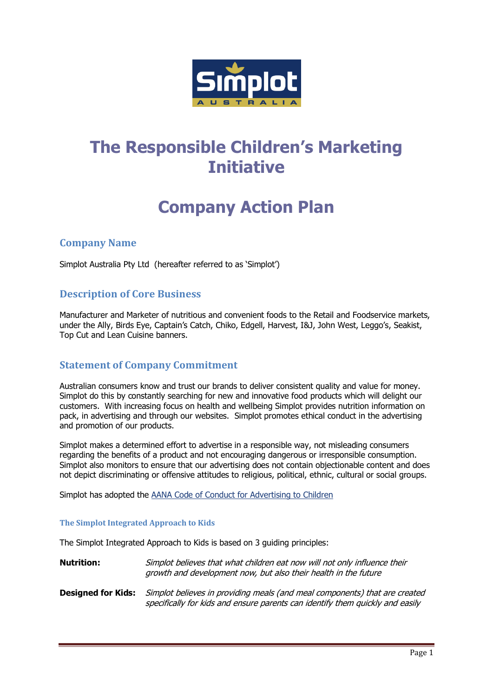

# **The Responsible Children's Marketing Initiative**

# **Company Action Plan**

# **Company Name**

Simplot Australia Pty Ltd (hereafter referred to as 'Simplot')

# **Description of Core Business**

Manufacturer and Marketer of nutritious and convenient foods to the Retail and Foodservice markets, under the Ally, Birds Eye, Captain's Catch, Chiko, Edgell, Harvest, I&J, John West, Leggo's, Seakist, Top Cut and Lean Cuisine banners.

# **Statement of Company Commitment**

Australian consumers know and trust our brands to deliver consistent quality and value for money. Simplot do this by constantly searching for new and innovative food products which will delight our customers. With increasing focus on health and wellbeing Simplot provides nutrition information on pack, in advertising and through our websites. Simplot promotes ethical conduct in the advertising and promotion of our products.

Simplot makes a determined effort to advertise in a responsible way, not misleading consumers regarding the benefits of a product and not encouraging dangerous or irresponsible consumption. Simplot also monitors to ensure that our advertising does not contain objectionable content and does not depict discriminating or offensive attitudes to religious, political, ethnic, cultural or social groups.

Simplot has adopted the [AANA Code of Conduct for Advertising to Children](http://www.aana.com.au/) 

#### **The Simplot Integrated Approach to Kids**

The Simplot Integrated Approach to Kids is based on 3 guiding principles:

**Nutrition:** Simplot believes that what children eat now will not only influence their growth and development now, but also their health in the future

**Designed for Kids:** Simplot believes in providing meals (and meal components) that are created specifically for kids and ensure parents can identify them quickly and easily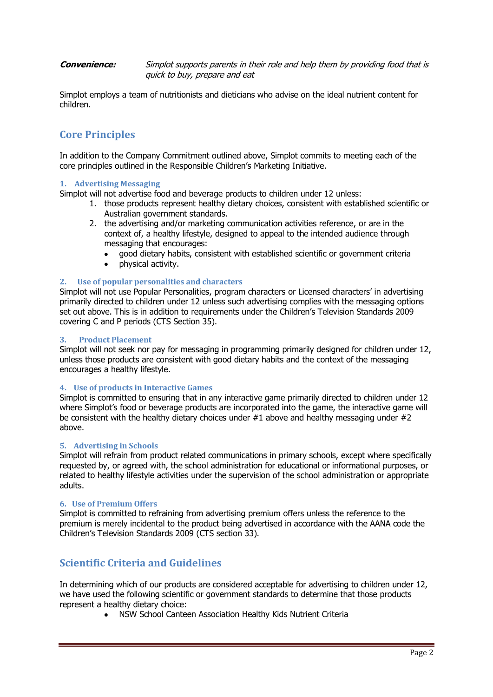**Convenience:** Simplot supports parents in their role and help them by providing food that is quick to buy, prepare and eat

Simplot employs a team of nutritionists and dieticians who advise on the ideal nutrient content for children.

# **Core Principles**

In addition to the Company Commitment outlined above, Simplot commits to meeting each of the core principles outlined in the Responsible Children's Marketing Initiative.

#### **1. Advertising Messaging**

Simplot will not advertise food and beverage products to children under 12 unless:

- 1. those products represent healthy dietary choices, consistent with established scientific or Australian government standards.
- 2. the advertising and/or marketing communication activities reference, or are in the context of, a healthy lifestyle, designed to appeal to the intended audience through messaging that encourages:
	- good dietary habits, consistent with established scientific or government criteria
	- physical activity.  $\bullet$

#### **2. Use of popular personalities and characters**

Simplot will not use Popular Personalities, program characters or Licensed characters' in advertising primarily directed to children under 12 unless such advertising complies with the messaging options set out above. This is in addition to requirements under the Children's Television Standards 2009 covering C and P periods (CTS Section 35).

#### **3. Product Placement**

Simplot will not seek nor pay for messaging in programming primarily designed for children under 12, unless those products are consistent with good dietary habits and the context of the messaging encourages a healthy lifestyle.

#### **4. Use of products in Interactive Games**

Simplot is committed to ensuring that in any interactive game primarily directed to children under 12 where Simplot's food or beverage products are incorporated into the game, the interactive game will be consistent with the healthy dietary choices under #1 above and healthy messaging under #2 above.

#### **5. Advertising in Schools**

Simplot will refrain from product related communications in primary schools, except where specifically requested by, or agreed with, the school administration for educational or informational purposes, or related to healthy lifestyle activities under the supervision of the school administration or appropriate adults.

#### **6. Use of Premium Offers**

Simplot is committed to refraining from advertising premium offers unless the reference to the premium is merely incidental to the product being advertised in accordance with the AANA code the Children's Television Standards 2009 (CTS section 33).

### **Scientific Criteria and Guidelines**

In determining which of our products are considered acceptable for advertising to children under 12, we have used the following scientific or government standards to determine that those products represent a healthy dietary choice:

NSW School Canteen Association Healthy Kids Nutrient Criteria